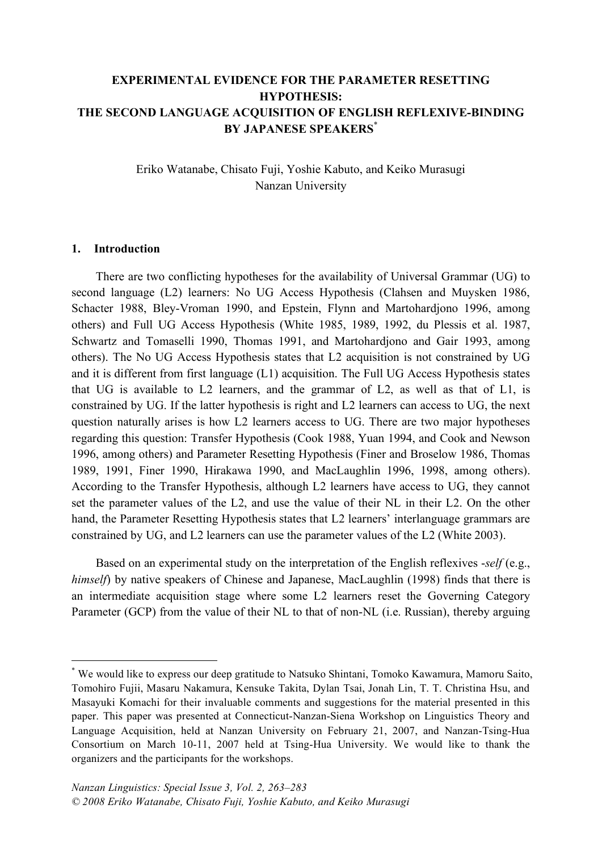## **EXPERIMENTAL EVIDENCE FOR THE PARAMETER RESETTING HYPOTHESIS: THE SECOND LANGUAGE ACQUISITION OF ENGLISH REFLEXIVE-BINDING BY JAPANESE SPEAKERS**\*

Eriko Watanabe, Chisato Fuji, Yoshie Kabuto, and Keiko Murasugi Nanzan University

#### **1. Introduction**

There are two conflicting hypotheses for the availability of Universal Grammar (UG) to second language (L2) learners: No UG Access Hypothesis (Clahsen and Muysken 1986, Schacter 1988, Bley-Vroman 1990, and Epstein, Flynn and Martohardjono 1996, among others) and Full UG Access Hypothesis (White 1985, 1989, 1992, du Plessis et al. 1987, Schwartz and Tomaselli 1990, Thomas 1991, and Martohardjono and Gair 1993, among others). The No UG Access Hypothesis states that L2 acquisition is not constrained by UG and it is different from first language (L1) acquisition. The Full UG Access Hypothesis states that UG is available to L2 learners, and the grammar of L2, as well as that of L1, is constrained by UG. If the latter hypothesis is right and L2 learners can access to UG, the next question naturally arises is how L2 learners access to UG. There are two major hypotheses regarding this question: Transfer Hypothesis (Cook 1988, Yuan 1994, and Cook and Newson 1996, among others) and Parameter Resetting Hypothesis (Finer and Broselow 1986, Thomas 1989, 1991, Finer 1990, Hirakawa 1990, and MacLaughlin 1996, 1998, among others). According to the Transfer Hypothesis, although L2 learners have access to UG, they cannot set the parameter values of the L2, and use the value of their NL in their L2. On the other hand, the Parameter Resetting Hypothesis states that L2 learners' interlanguage grammars are constrained by UG, and L2 learners can use the parameter values of the L2 (White 2003).

Based on an experimental study on the interpretation of the English reflexives -*self* (e.g., *himself*) by native speakers of Chinese and Japanese, MacLaughlin (1998) finds that there is an intermediate acquisition stage where some L2 learners reset the Governing Category Parameter (GCP) from the value of their NL to that of non-NL (i.e. Russian), thereby arguing

 <sup>\*</sup> We would like to express our deep gratitude to Natsuko Shintani, Tomoko Kawamura, Mamoru Saito, Tomohiro Fujii, Masaru Nakamura, Kensuke Takita, Dylan Tsai, Jonah Lin, T. T. Christina Hsu, and Masayuki Komachi for their invaluable comments and suggestions for the material presented in this paper. This paper was presented at Connecticut-Nanzan-Siena Workshop on Linguistics Theory and Language Acquisition, held at Nanzan University on February 21, 2007, and Nanzan-Tsing-Hua Consortium on March 10-11, 2007 held at Tsing-Hua University. We would like to thank the organizers and the participants for the workshops.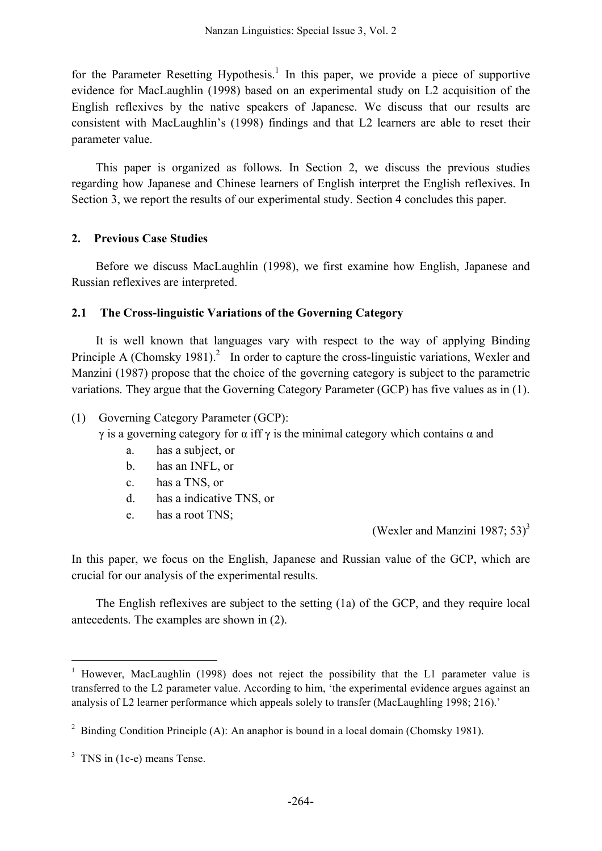for the Parameter Resetting Hypothesis.<sup>1</sup> In this paper, we provide a piece of supportive evidence for MacLaughlin (1998) based on an experimental study on L2 acquisition of the English reflexives by the native speakers of Japanese. We discuss that our results are consistent with MacLaughlin's (1998) findings and that L2 learners are able to reset their parameter value.

This paper is organized as follows. In Section 2, we discuss the previous studies regarding how Japanese and Chinese learners of English interpret the English reflexives. In Section 3, we report the results of our experimental study. Section 4 concludes this paper.

### **2. Previous Case Studies**

Before we discuss MacLaughlin (1998), we first examine how English, Japanese and Russian reflexives are interpreted.

### **2.1 The Cross-linguistic Variations of the Governing Category**

It is well known that languages vary with respect to the way of applying Binding Principle A (Chomsky 1981).<sup>2</sup> In order to capture the cross-linguistic variations, Wexler and Manzini (1987) propose that the choice of the governing category is subject to the parametric variations. They argue that the Governing Category Parameter (GCP) has five values as in (1).

### (1) Governing Category Parameter (GCP):

- $γ$  is a governing category for  $α$  iff  $γ$  is the minimal category which contains  $α$  and
	- a. has a subject, or
	- b. has an INFL, or
	- c. has a TNS, or
	- d. has a indicative TNS, or
	- e. has a root TNS;

(Wexler and Manzini 1987;  $53$ )<sup>3</sup>

In this paper, we focus on the English, Japanese and Russian value of the GCP, which are crucial for our analysis of the experimental results.

The English reflexives are subject to the setting (1a) of the GCP, and they require local antecedents. The examples are shown in (2).

<sup>&</sup>lt;sup>1</sup> However, MacLaughlin (1998) does not reject the possibility that the L1 parameter value is transferred to the L2 parameter value. According to him, 'the experimental evidence argues against an analysis of L2 learner performance which appeals solely to transfer (MacLaughling 1998; 216).'

<sup>&</sup>lt;sup>2</sup> Binding Condition Principle (A): An anaphor is bound in a local domain (Chomsky 1981).

<sup>&</sup>lt;sup>3</sup> TNS in (1c-e) means Tense.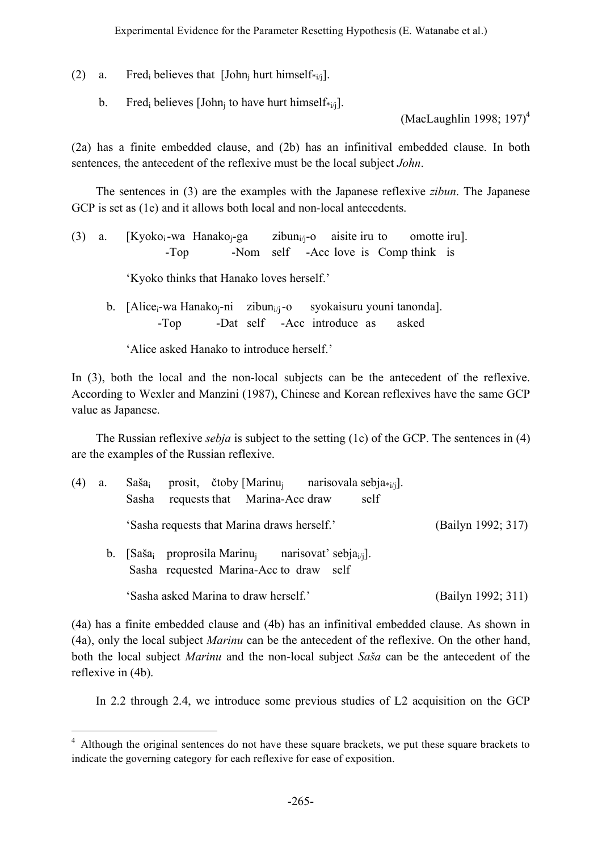(2) a. Fred<sub>i</sub> believes that [John<sub>i</sub> hurt himself<sub>\*i/j</sub>].

b. Fred<sub>i</sub> believes [John<sub>i</sub> to have hurt himself<sub>\*i/j</sub>].

(MacLaughlin 1998; 197) 4

(2a) has a finite embedded clause, and (2b) has an infinitival embedded clause. In both sentences, the antecedent of the reflexive must be the local subject *John*.

The sentences in (3) are the examples with the Japanese reflexive *zibun*. The Japanese GCP is set as (1e) and it allows both local and non-local antecedents.

(3) a.  $[Kyoko_i-wa Hanako_i-ga$  zibun<sub>i/j</sub>-o aisite iru to omotte iru]. -Top -Nom self -Acc love is Comp think is

'Kyoko thinks that Hanako loves herself.'

b. [Alice<sub>i</sub>-wa Hanako<sub>i</sub>-ni zibun<sub>i/i</sub>-o syokaisuru youni tanonda]. -Top -Dat self -Acc introduce as asked

'Alice asked Hanako to introduce herself.'

In (3), both the local and the non-local subjects can be the antecedent of the reflexive. According to Wexler and Manzini (1987), Chinese and Korean reflexives have the same GCP value as Japanese.

The Russian reflexive *sebja* is subject to the setting (1c) of the GCP. The sentences in (4) are the examples of the Russian reflexive.

| (4) | a.      | prosit, čtoby [Marinu <sub>i</sub> narisovala sebja <sub>*i/i</sub> ].<br>Saša <sub>i</sub><br>self<br>requests that Marina-Acc draw<br>Sasha |                    |
|-----|---------|-----------------------------------------------------------------------------------------------------------------------------------------------|--------------------|
|     |         | 'Sasha requests that Marina draws herself.'                                                                                                   | (Bailyn 1992; 317) |
|     | $b_{-}$ | [Saša <sub>i</sub> proprosila Marinu <sub>i</sub> narisovat' sebja <sub>i/i</sub> ].<br>Sasha requested Marina-Acc to draw self               |                    |
|     |         | 'Sasha asked Marina to draw herself.'                                                                                                         | (Bailyn 1992; 311) |

(4a) has a finite embedded clause and (4b) has an infinitival embedded clause. As shown in (4a), only the local subject *Marinu* can be the antecedent of the reflexive. On the other hand, both the local subject *Marinu* and the non-local subject *Saša* can be the antecedent of the reflexive in (4b).

In 2.2 through 2.4, we introduce some previous studies of L2 acquisition on the GCP

<sup>&</sup>lt;sup>4</sup> Although the original sentences do not have these square brackets, we put these square brackets to indicate the governing category for each reflexive for ease of exposition.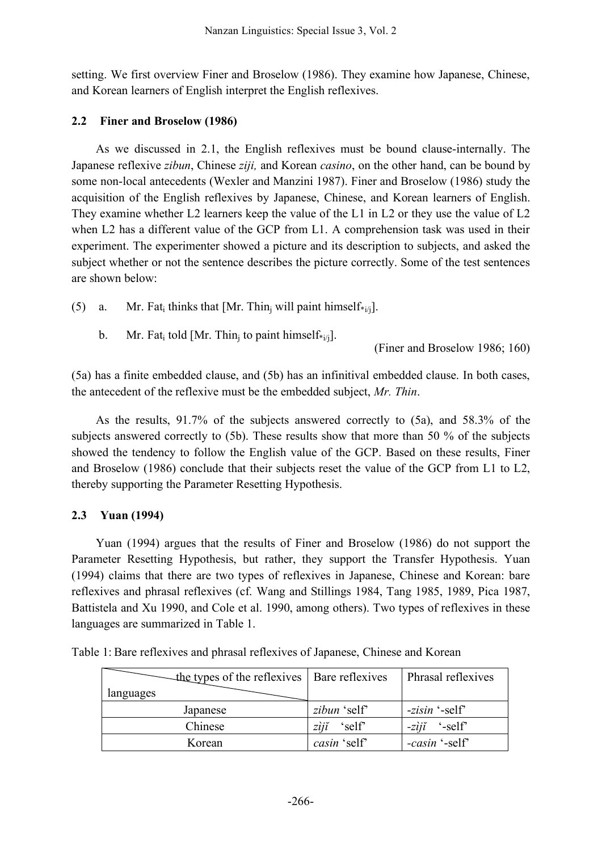setting. We first overview Finer and Broselow (1986). They examine how Japanese, Chinese, and Korean learners of English interpret the English reflexives.

## **2.2 Finer and Broselow (1986)**

As we discussed in 2.1, the English reflexives must be bound clause-internally. The Japanese reflexive *zibun*, Chinese *ziji,* and Korean *casino*, on the other hand, can be bound by some non-local antecedents (Wexler and Manzini 1987). Finer and Broselow (1986) study the acquisition of the English reflexives by Japanese, Chinese, and Korean learners of English. They examine whether L2 learners keep the value of the L1 in L2 or they use the value of L2 when L2 has a different value of the GCP from L1. A comprehension task was used in their experiment. The experimenter showed a picture and its description to subjects, and asked the subject whether or not the sentence describes the picture correctly. Some of the test sentences are shown below:

- (5) a. Mr. Fat<sub>i</sub> thinks that  $[Mr. Thin<sub>i</sub> will paint himself<sub>*<sub>ij</sub>]</sub>$ .
	- b. Mr. Fat<sub>i</sub> told [Mr. Thin<sub>i</sub> to paint himself\*<sub>i/i</sub>].

(Finer and Broselow 1986; 160)

(5a) has a finite embedded clause, and (5b) has an infinitival embedded clause. In both cases, the antecedent of the reflexive must be the embedded subject, *Mr. Thin*.

As the results, 91.7% of the subjects answered correctly to (5a), and 58.3% of the subjects answered correctly to (5b). These results show that more than 50 % of the subjects showed the tendency to follow the English value of the GCP. Based on these results, Finer and Broselow (1986) conclude that their subjects reset the value of the GCP from L1 to L2, thereby supporting the Parameter Resetting Hypothesis.

# **2.3 Yuan (1994)**

Yuan (1994) argues that the results of Finer and Broselow (1986) do not support the Parameter Resetting Hypothesis, but rather, they support the Transfer Hypothesis. Yuan (1994) claims that there are two types of reflexives in Japanese, Chinese and Korean: bare reflexives and phrasal reflexives (cf. Wang and Stillings 1984, Tang 1985, 1989, Pica 1987, Battistela and Xu 1990, and Cole et al. 1990, among others). Two types of reflexives in these languages are summarized in Table 1.

| $\triangle$ the types of the reflexives   Bare reflexives<br>languages |                       | Phrasal reflexives     |
|------------------------------------------------------------------------|-----------------------|------------------------|
| Japanese                                                               | zibun 'self'          | -zisin '-self'         |
| Chinese                                                                | $zii\tilde{i}$ 'self' | $-zii$ $\epsilon$ self |
| Korean                                                                 | casin 'self'          | -casin '-self'         |

Table 1: Bare reflexives and phrasal reflexives of Japanese, Chinese and Korean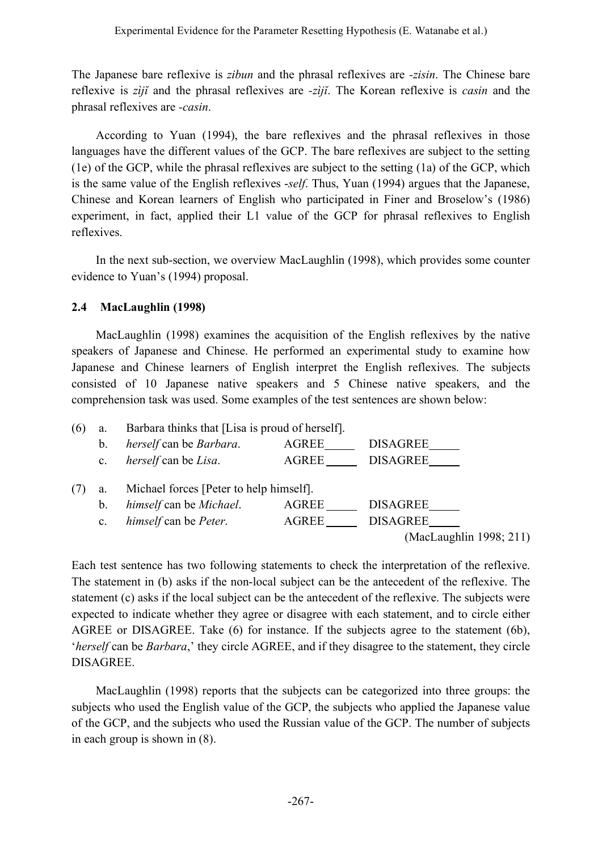The Japanese bare reflexive is *zibun* and the phrasal reflexives are *-zisin*. The Chinese bare reflexive is *zìjĭ* and the phrasal reflexives are *-zìjĭ*. The Korean reflexive is *casin* and the phrasal reflexives are *-casin*.

According to Yuan (1994), the bare reflexives and the phrasal reflexives in those languages have the different values of the GCP. The bare reflexives are subject to the setting (1e) of the GCP, while the phrasal reflexives are subject to the setting (1a) of the GCP, which is the same value of the English reflexives -*self*. Thus, Yuan (1994) argues that the Japanese, Chinese and Korean learners of English who participated in Finer and Broselow's (1986) experiment, in fact, applied their L1 value of the GCP for phrasal reflexives to English reflexives.

In the next sub-section, we overview MacLaughlin (1998), which provides some counter evidence to Yuan's (1994) proposal.

## **2.4 MacLaughlin (1998)**

MacLaughlin (1998) examines the acquisition of the English reflexives by the native speakers of Japanese and Chinese. He performed an experimental study to examine how Japanese and Chinese learners of English interpret the English reflexives. The subjects consisted of 10 Japanese native speakers and 5 Chinese native speakers, and the comprehension task was used. Some examples of the test sentences are shown below:



Each test sentence has two following statements to check the interpretation of the reflexive. The statement in (b) asks if the non-local subject can be the antecedent of the reflexive. The statement (c) asks if the local subject can be the antecedent of the reflexive. The subjects were expected to indicate whether they agree or disagree with each statement, and to circle either AGREE or DISAGREE. Take (6) for instance. If the subjects agree to the statement (6b), '*herself* can be *Barbara*,' they circle AGREE, and if they disagree to the statement, they circle DISAGREE.

MacLaughlin (1998) reports that the subjects can be categorized into three groups: the subjects who used the English value of the GCP, the subjects who applied the Japanese value of the GCP, and the subjects who used the Russian value of the GCP. The number of subjects in each group is shown in (8).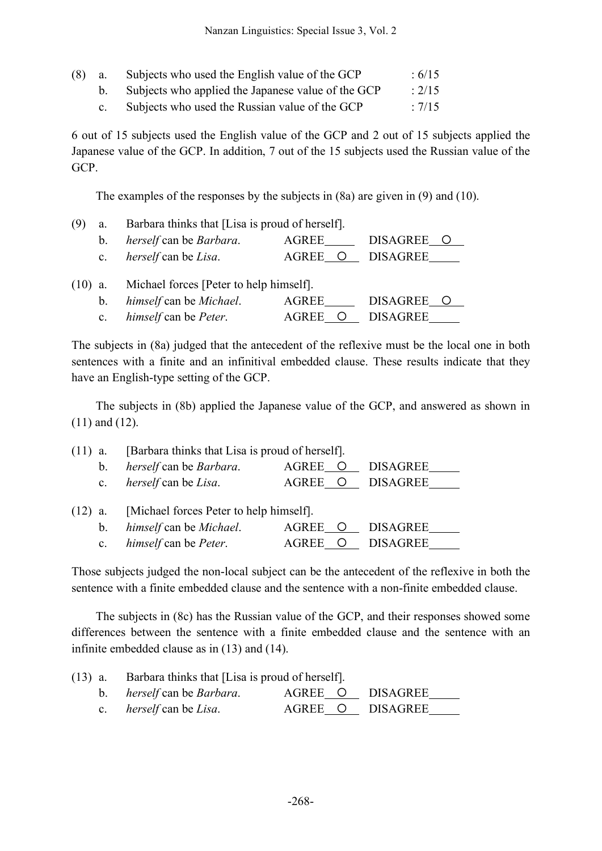| $(8)$ a. | Subjects who used the English value of the GCP     | :6/15  |
|----------|----------------------------------------------------|--------|
|          | Subjects who applied the Japanese value of the GCP | : 2/15 |
|          | Subjects who used the Russian value of the GCP     | : 7/15 |

6 out of 15 subjects used the English value of the GCP and 2 out of 15 subjects applied the Japanese value of the GCP. In addition, 7 out of the 15 subjects used the Russian value of the GCP.

The examples of the responses by the subjects in (8a) are given in (9) and (10).

| (9)       | a.          | Barbara thinks that [Lisa is proud of herself]. |                     |          |  |  |  |
|-----------|-------------|-------------------------------------------------|---------------------|----------|--|--|--|
|           | $b_{\perp}$ | <i>herself</i> can be <i>Barbara</i> .          | DISAGREE O<br>AGREE |          |  |  |  |
|           | $c_{\rm}$   | <i>herself</i> can be <i>Lisa</i> .             | AGREE O             | DISAGREE |  |  |  |
| $(10)$ a. |             | Michael forces [Peter to help himself].         |                     |          |  |  |  |

| himself can be Michael.              | AGREE   | DISAGREE O |
|--------------------------------------|---------|------------|
| <i>himself</i> can be <i>Peter</i> . | AGREE O | DISAGREE   |

The subjects in (8a) judged that the antecedent of the reflexive must be the local one in both sentences with a finite and an infinitival embedded clause. These results indicate that they have an English-type setting of the GCP.

The subjects in (8b) applied the Japanese value of the GCP, and answered as shown in (11) and (12).

| $(11)$ a. |                | [Barbara thinks that Lisa is proud of herself]. |              |          |                 |
|-----------|----------------|-------------------------------------------------|--------------|----------|-----------------|
|           | $b_{\cdot}$    | herself can be Barbara.                         | AGREE        |          | <b>DISAGREE</b> |
|           | $c_{\cdot}$    | herself can be Lisa.                            | AGREE        | <b>O</b> | DISAGREE        |
| $(12)$ a. |                | [Michael forces Peter to help himself].         |              |          |                 |
|           | b.             | himself can be Michael.                         | <b>AGREE</b> |          | <b>DISAGREE</b> |
|           | $\mathbf{c}$ . | himself can be Peter.                           | AGREE        |          | DISAGREE        |

Those subjects judged the non-local subject can be the antecedent of the reflexive in both the sentence with a finite embedded clause and the sentence with a non-finite embedded clause.

The subjects in (8c) has the Russian value of the GCP, and their responses showed some differences between the sentence with a finite embedded clause and the sentence with an infinite embedded clause as in (13) and (14).

| $(13)$ a. Barbara thinks that [Lisa is proud of herself]. |                  |  |
|-----------------------------------------------------------|------------------|--|
| b. <i>herself</i> can be <i>Barbara</i> .                 | AGREE O DISAGREE |  |
| c. <i>herself</i> can be <i>Lisa</i> .                    | AGREE O DISAGREE |  |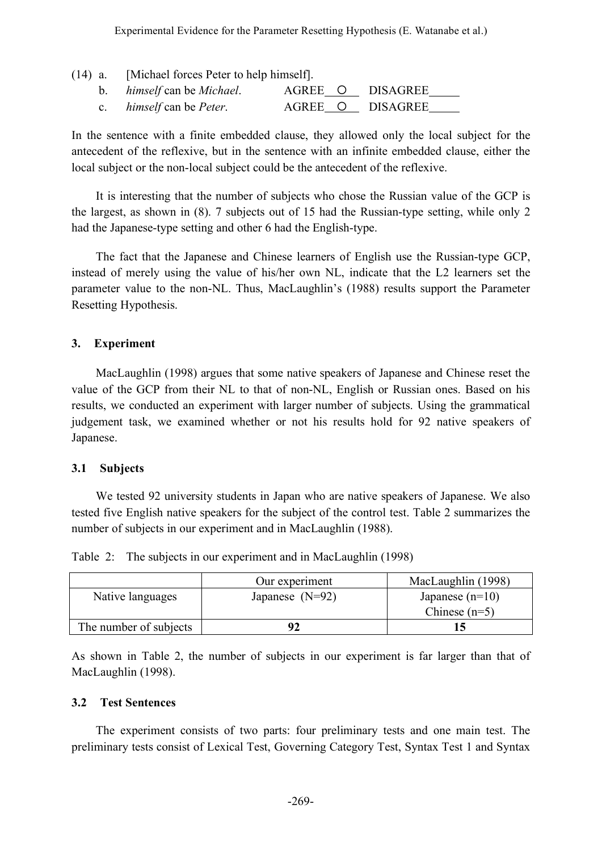|  | $(14)$ a. [Michael forces Peter to help himself]. |  |  |                  |  |
|--|---------------------------------------------------|--|--|------------------|--|
|  | b. <i>himself</i> can be <i>Michael</i> .         |  |  | AGREE O DISAGREE |  |
|  | c. <i>himself</i> can be <i>Peter</i> .           |  |  | AGREE O DISAGREE |  |

In the sentence with a finite embedded clause, they allowed only the local subject for the antecedent of the reflexive, but in the sentence with an infinite embedded clause, either the local subject or the non-local subject could be the antecedent of the reflexive.

It is interesting that the number of subjects who chose the Russian value of the GCP is the largest, as shown in (8). 7 subjects out of 15 had the Russian-type setting, while only 2 had the Japanese-type setting and other 6 had the English-type.

The fact that the Japanese and Chinese learners of English use the Russian-type GCP, instead of merely using the value of his/her own NL, indicate that the L2 learners set the parameter value to the non-NL. Thus, MacLaughlin's (1988) results support the Parameter Resetting Hypothesis.

### **3. Experiment**

MacLaughlin (1998) argues that some native speakers of Japanese and Chinese reset the value of the GCP from their NL to that of non-NL, English or Russian ones. Based on his results, we conducted an experiment with larger number of subjects. Using the grammatical judgement task, we examined whether or not his results hold for 92 native speakers of Japanese.

### **3.1 Subjects**

We tested 92 university students in Japan who are native speakers of Japanese. We also tested five English native speakers for the subject of the control test. Table 2 summarizes the number of subjects in our experiment and in MacLaughlin (1988).

Table 2: The subjects in our experiment and in MacLaughlin (1998)

|                        | Our experiment    | MacLaughlin (1998) |
|------------------------|-------------------|--------------------|
| Native languages       | Japanese $(N=92)$ | Japanese $(n=10)$  |
|                        |                   | Chinese $(n=5)$    |
| The number of subjects | 92                |                    |

As shown in Table 2, the number of subjects in our experiment is far larger than that of MacLaughlin (1998).

### **3.2 Test Sentences**

The experiment consists of two parts: four preliminary tests and one main test. The preliminary tests consist of Lexical Test, Governing Category Test, Syntax Test 1 and Syntax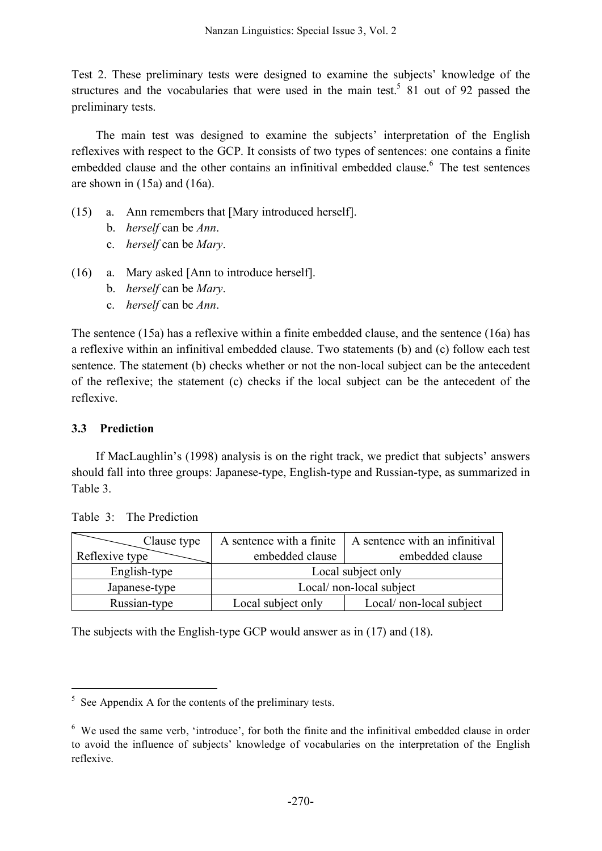Test 2. These preliminary tests were designed to examine the subjects' knowledge of the structures and the vocabularies that were used in the main test.<sup>5</sup> 81 out of 92 passed the preliminary tests.

The main test was designed to examine the subjects' interpretation of the English reflexives with respect to the GCP. It consists of two types of sentences: one contains a finite embedded clause and the other contains an infinitival embedded clause. <sup>6</sup> The test sentences are shown in (15a) and (16a).

- (15) a. Ann remembers that [Mary introduced herself].
	- b. *herself* can be *Ann*.
	- c. *herself* can be *Mary*.
- (16) a. Mary asked [Ann to introduce herself].
	- b. *herself* can be *Mary*.
	- c. *herself* can be *Ann*.

The sentence (15a) has a reflexive within a finite embedded clause, and the sentence (16a) has a reflexive within an infinitival embedded clause. Two statements (b) and (c) follow each test sentence. The statement (b) checks whether or not the non-local subject can be the antecedent of the reflexive; the statement (c) checks if the local subject can be the antecedent of the reflexive.

## **3.3 Prediction**

If MacLaughlin's (1998) analysis is on the right track, we predict that subjects' answers should fall into three groups: Japanese-type, English-type and Russian-type, as summarized in Table 3.

| Clause type    | A sentence with a finite | A sentence with an infinitival |  |
|----------------|--------------------------|--------------------------------|--|
| Reflexive type | embedded clause          | embedded clause                |  |
| English-type   | Local subject only       |                                |  |
| Japanese-type  | Local/ non-local subject |                                |  |
| Russian-type   | Local subject only       | Local/ non-local subject       |  |

Table 3<sup>-</sup> The Prediction

The subjects with the English-type GCP would answer as in (17) and (18).

 $5$  See Appendix A for the contents of the preliminary tests.

<sup>6</sup> We used the same verb, 'introduce', for both the finite and the infinitival embedded clause in order to avoid the influence of subjects' knowledge of vocabularies on the interpretation of the English reflexive.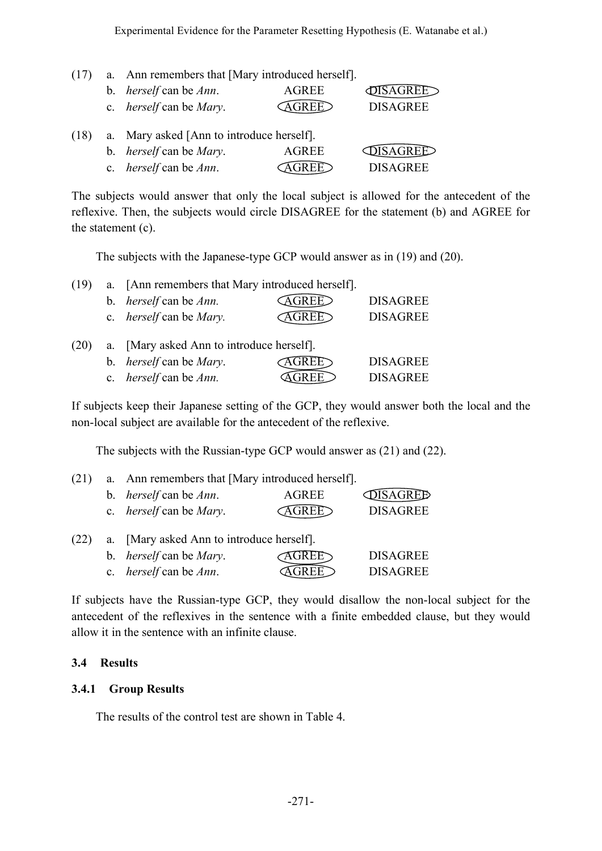| (17) | a. Ann remembers that [Mary introduced herself]. |              |                 |
|------|--------------------------------------------------|--------------|-----------------|
|      | b. <i>herself</i> can be <i>Ann</i> .            | <b>AGREE</b> | <b>\GREE</b>    |
|      | c. <i>herself</i> can be <i>Mary</i> .           |              | <b>DISAGREE</b> |
| (18) | a. Mary asked [Ann to introduce herself].        |              |                 |
|      | b. <i>herself</i> can be <i>Mary</i> .           | AGREE        | ISAGREE         |
|      | c. <i>herself</i> can be <i>Ann</i> .            |              | <b>DISAGREE</b> |

The subjects would answer that only the local subject is allowed for the antecedent of the reflexive. Then, the subjects would circle DISAGREE for the statement (b) and AGREE for the statement (c).

The subjects with the Japanese-type GCP would answer as in (19) and (20).

| (19) |    | a. [Ann remembers that Mary introduced herself]. |              |                 |
|------|----|--------------------------------------------------|--------------|-----------------|
|      |    | b. <i>herself</i> can be <i>Ann</i> .            | <b>AGREE</b> | <b>DISAGREE</b> |
|      |    | c. <i>herself</i> can be <i>Mary</i> .           | <b>AGREE</b> | <b>DISAGREE</b> |
| (20) | а. | [Mary asked Ann to introduce herself].           |              |                 |

| b. <i>herself</i> can be <i>Mary</i> . | <b>AGREE</b> | <b>DISAGREE</b> |
|----------------------------------------|--------------|-----------------|
| c. <i>herself</i> can be <i>Ann</i> .  | <b>AGREE</b> | <b>DISAGREE</b> |

If subjects keep their Japanese setting of the GCP, they would answer both the local and the non-local subject are available for the antecedent of the reflexive.

The subjects with the Russian-type GCP would answer as (21) and (22).

| (21) | a. Ann remembers that [Mary introduced herself]. |       |                               |
|------|--------------------------------------------------|-------|-------------------------------|
|      | b. <i>herself</i> can be <i>Ann</i> .            | AGREE | <b><i><u>OISAGREE</u></i></b> |
|      | c. <i>herself</i> can be <i>Mary</i> .           | AGREE | <b>DISAGREE</b>               |
| (22) | a. [Mary asked Ann to introduce herself].        |       |                               |
|      | b. <i>herself</i> can be <i>Mary</i> .           |       | <b>DISAGREE</b>               |

c. *herself* can be *Ann*. **AGREE** DISAGREE

If subjects have the Russian-type GCP, they would disallow the non-local subject for the antecedent of the reflexives in the sentence with a finite embedded clause, but they would allow it in the sentence with an infinite clause.

## **3.4 Results**

## **3.4.1 Group Results**

The results of the control test are shown in Table 4.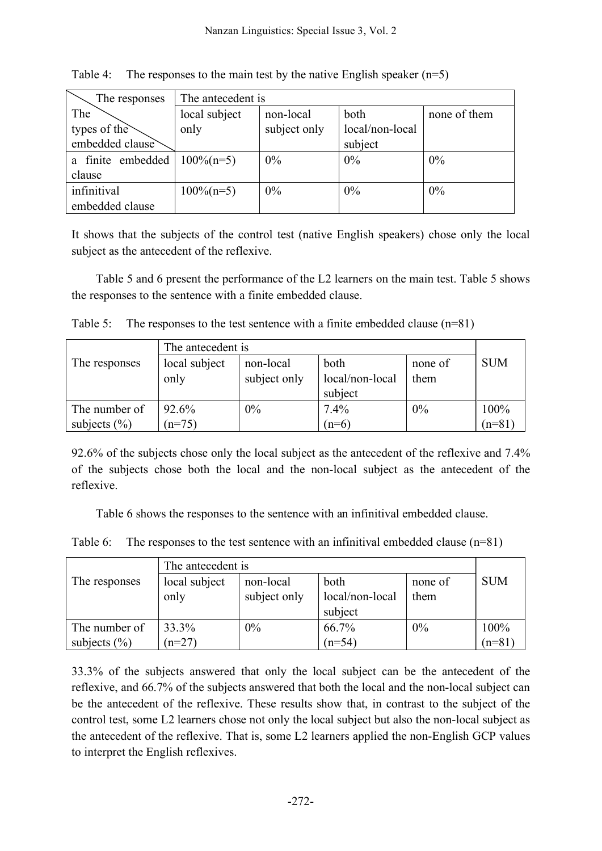| The responses     | The antecedent is |              |                 |              |  |
|-------------------|-------------------|--------------|-----------------|--------------|--|
| The               | local subject     | non-local    | both            | none of them |  |
| types of the      | only              | subject only | local/non-local |              |  |
| embedded clause   |                   |              | subject         |              |  |
| a finite embedded | $100\%$ (n=5)     | $0\%$        | 0%              | 0%           |  |
| clause            |                   |              |                 |              |  |
| infinitival       | $100\%$ (n=5)     | $0\%$        | 0%              | 0%           |  |
| embedded clause   |                   |              |                 |              |  |

Table 4: The responses to the main test by the native English speaker  $(n=5)$ 

It shows that the subjects of the control test (native English speakers) chose only the local subject as the antecedent of the reflexive.

Table 5 and 6 present the performance of the L2 learners on the main test. Table 5 shows the responses to the sentence with a finite embedded clause.

|  | Table 5: The responses to the test sentence with a finite embedded clause $(n=81)$ |  |  |  |  |
|--|------------------------------------------------------------------------------------|--|--|--|--|
|--|------------------------------------------------------------------------------------|--|--|--|--|

| The antecedent is |               |              |                 |         |            |
|-------------------|---------------|--------------|-----------------|---------|------------|
| The responses     | local subject | non-local    | both            | none of | <b>SUM</b> |
|                   | only          | subject only | local/non-local | them    |            |
|                   |               |              | subject         |         |            |
| The number of     | 92.6%         | $0\%$        | 7.4%            | 0%      | 100%       |
| subjects $(\% )$  | $n=75$        |              | $(n=6)$         |         | $(n=81)$   |

92.6% of the subjects chose only the local subject as the antecedent of the reflexive and 7.4% of the subjects chose both the local and the non-local subject as the antecedent of the reflexive.

Table 6 shows the responses to the sentence with an infinitival embedded clause.

|  |  |  |  | Table 6: The responses to the test sentence with an infinitival embedded clause $(n=81)$ |  |
|--|--|--|--|------------------------------------------------------------------------------------------|--|
|--|--|--|--|------------------------------------------------------------------------------------------|--|

| The antecedent is |               |              |                 |         |            |
|-------------------|---------------|--------------|-----------------|---------|------------|
| The responses     | local subject | non-local    | both            | none of | <b>SUM</b> |
|                   | only          | subject only | local/non-local | them    |            |
|                   |               |              | subject         |         |            |
| The number of     | 33.3%         | $0\%$        | 66.7%           | 0%      | 100%       |
| subjects $(\% )$  | $n=27$        |              | $(n=54)$        |         | $(n=81)$   |

33.3% of the subjects answered that only the local subject can be the antecedent of the reflexive, and 66.7% of the subjects answered that both the local and the non-local subject can be the antecedent of the reflexive. These results show that, in contrast to the subject of the control test, some L2 learners chose not only the local subject but also the non-local subject as the antecedent of the reflexive. That is, some L2 learners applied the non-English GCP values to interpret the English reflexives.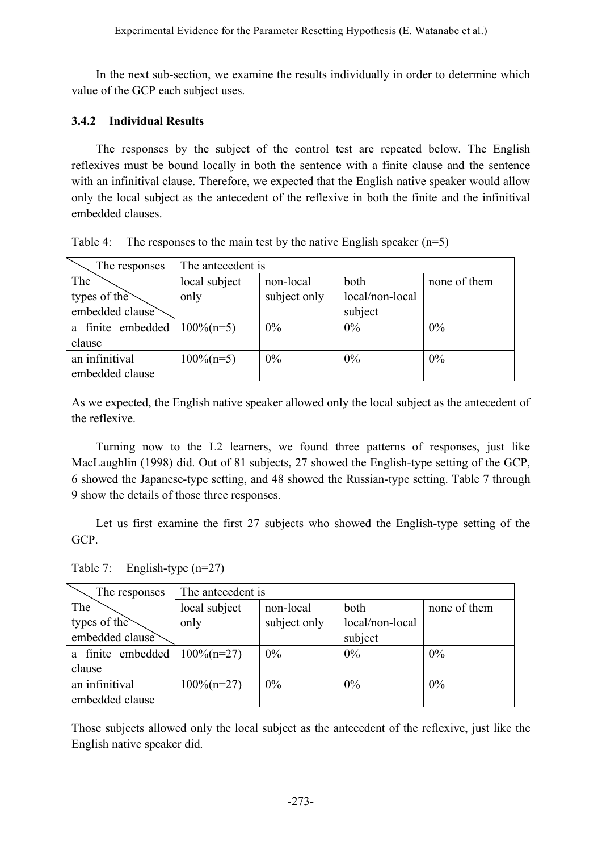In the next sub-section, we examine the results individually in order to determine which value of the GCP each subject uses.

### **3.4.2 Individual Results**

The responses by the subject of the control test are repeated below. The English reflexives must be bound locally in both the sentence with a finite clause and the sentence with an infinitival clause. Therefore, we expected that the English native speaker would allow only the local subject as the antecedent of the reflexive in both the finite and the infinitival embedded clauses.

| The responses     | The antecedent is                                  |              |                 |       |  |
|-------------------|----------------------------------------------------|--------------|-----------------|-------|--|
| The               | local subject<br>both<br>non-local<br>none of them |              |                 |       |  |
| types of the      | only                                               | subject only | local/non-local |       |  |
| embedded clause   |                                                    |              | subject         |       |  |
| a finite embedded | $100\%$ (n=5)                                      | $0\%$        | $0\%$           | $0\%$ |  |
| clause            |                                                    |              |                 |       |  |
| an infinitival    | $100\%$ (n=5)                                      | $0\%$        | $0\%$           | $0\%$ |  |
| embedded clause   |                                                    |              |                 |       |  |

| Table 4: The responses to the main test by the native English speaker $(n=5)$ |  |  |
|-------------------------------------------------------------------------------|--|--|
|                                                                               |  |  |

As we expected, the English native speaker allowed only the local subject as the antecedent of the reflexive.

Turning now to the L2 learners, we found three patterns of responses, just like MacLaughlin (1998) did. Out of 81 subjects, 27 showed the English-type setting of the GCP, 6 showed the Japanese-type setting, and 48 showed the Russian-type setting. Table 7 through 9 show the details of those three responses.

Let us first examine the first 27 subjects who showed the English-type setting of the GCP.

Table 7: English-type (n=27)

| The responses     | The antecedent is |              |                 |              |  |
|-------------------|-------------------|--------------|-----------------|--------------|--|
| The               | local subject     | non-local    | both            | none of them |  |
| types of the      | only              | subject only | local/non-local |              |  |
| embedded clause   |                   |              | subject         |              |  |
| a finite embedded | $100\%$ (n=27)    | $0\%$        | 0%              | 0%           |  |
| clause            |                   |              |                 |              |  |
| an infinitival    | $100\%$ (n=27)    | $0\%$        | $0\%$           | $0\%$        |  |
| embedded clause   |                   |              |                 |              |  |

Those subjects allowed only the local subject as the antecedent of the reflexive, just like the English native speaker did.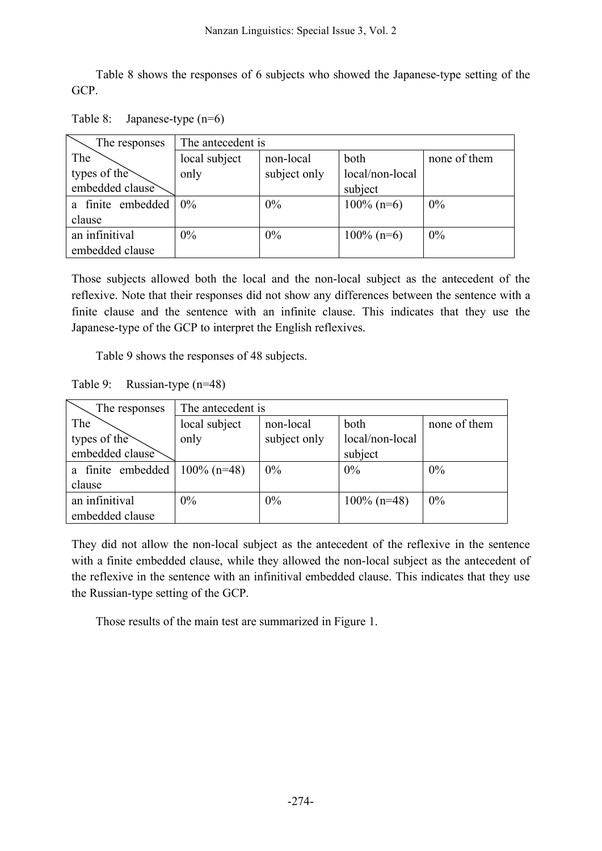Table 8 shows the responses of 6 subjects who showed the Japanese-type setting of the GCP.

| Table 8: | Japanese-type $(n=6)$ |
|----------|-----------------------|
|----------|-----------------------|

| The responses     | The antecedent is |              |                 |              |  |
|-------------------|-------------------|--------------|-----------------|--------------|--|
| The               | local subject     | non-local    | both            | none of them |  |
| types of the      | only              | subject only | local/non-local |              |  |
| embedded clause   |                   |              | subject         |              |  |
| a finite embedded | $0\%$             | 0%           | $100\%$ (n=6)   | $0\%$        |  |
| clause            |                   |              |                 |              |  |
| an infinitival    | $0\%$             | 0%           | $100\%$ (n=6)   | 0%           |  |
| embedded clause   |                   |              |                 |              |  |

Those subjects allowed both the local and the non-local subject as the antecedent of the reflexive. Note that their responses did not show any differences between the sentence with a finite clause and the sentence with an infinite clause. This indicates that they use the Japanese-type of the GCP to interpret the English reflexives.

Table 9 shows the responses of 48 subjects.

Table 9: Russian-type (n=48)

| The responses     | The antecedent is                                  |              |                 |    |
|-------------------|----------------------------------------------------|--------------|-----------------|----|
| The               | local subject<br>both<br>non-local<br>none of them |              |                 |    |
| types of the      | only                                               | subject only | local/non-local |    |
| embedded clause   |                                                    |              | subject         |    |
| a finite embedded | $100\%$ (n=48)                                     | $0\%$        | 0%              | 0% |
| clause            |                                                    |              |                 |    |
| an infinitival    | $0\%$                                              | 0%           | $100\%$ (n=48)  | 0% |
| embedded clause   |                                                    |              |                 |    |

They did not allow the non-local subject as the antecedent of the reflexive in the sentence with a finite embedded clause, while they allowed the non-local subject as the antecedent of the reflexive in the sentence with an infinitival embedded clause. This indicates that they use the Russian-type setting of the GCP.

Those results of the main test are summarized in Figure 1.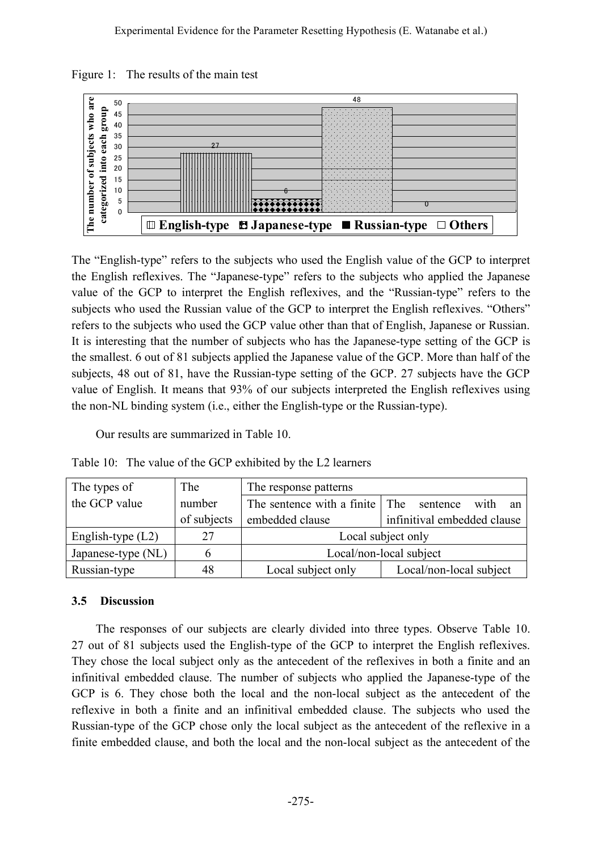Figure 1: The results of the main test



The "English-type" refers to the subjects who used the English value of the GCP to interpret the English reflexives. The "Japanese-type" refers to the subjects who applied the Japanese value of the GCP to interpret the English reflexives, and the "Russian-type" refers to the subjects who used the Russian value of the GCP to interpret the English reflexives. "Others" refers to the subjects who used the GCP value other than that of English, Japanese or Russian. It is interesting that the number of subjects who has the Japanese-type setting of the GCP is the smallest. 6 out of 81 subjects applied the Japanese value of the GCP. More than half of the subjects, 48 out of 81, have the Russian-type setting of the GCP. 27 subjects have the GCP value of English. It means that 93% of our subjects interpreted the English reflexives using the non-NL binding system (i.e., either the English-type or the Russian-type).

Our results are summarized in Table 10.

Table 10: The value of the GCP exhibited by the L2 learners

| The types of        | The         | The response patterns                                 |                         |  |
|---------------------|-------------|-------------------------------------------------------|-------------------------|--|
| the GCP value       | number      | The sentence with a finite The sentence<br>with<br>an |                         |  |
|                     | of subjects | infinitival embedded clause<br>embedded clause        |                         |  |
| English-type $(L2)$ | 27          | Local subject only                                    |                         |  |
| Japanese-type (NL)  |             | Local/non-local subject                               |                         |  |
| Russian-type        | 48          | Local subject only                                    | Local/non-local subject |  |

### **3.5 Discussion**

The responses of our subjects are clearly divided into three types. Observe Table 10. 27 out of 81 subjects used the English-type of the GCP to interpret the English reflexives. They chose the local subject only as the antecedent of the reflexives in both a finite and an infinitival embedded clause. The number of subjects who applied the Japanese-type of the GCP is 6. They chose both the local and the non-local subject as the antecedent of the reflexive in both a finite and an infinitival embedded clause. The subjects who used the Russian-type of the GCP chose only the local subject as the antecedent of the reflexive in a finite embedded clause, and both the local and the non-local subject as the antecedent of the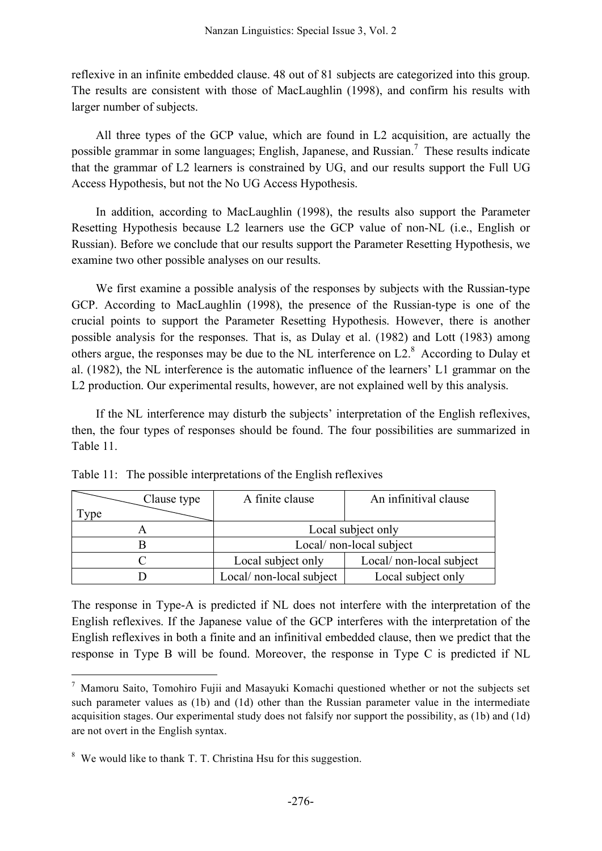reflexive in an infinite embedded clause. 48 out of 81 subjects are categorized into this group. The results are consistent with those of MacLaughlin (1998), and confirm his results with larger number of subjects.

All three types of the GCP value, which are found in L2 acquisition, are actually the possible grammar in some languages; English, Japanese, and Russian.<sup>7</sup> These results indicate that the grammar of L2 learners is constrained by UG, and our results support the Full UG Access Hypothesis, but not the No UG Access Hypothesis.

In addition, according to MacLaughlin (1998), the results also support the Parameter Resetting Hypothesis because L2 learners use the GCP value of non-NL (i.e., English or Russian). Before we conclude that our results support the Parameter Resetting Hypothesis, we examine two other possible analyses on our results.

We first examine a possible analysis of the responses by subjects with the Russian-type GCP. According to MacLaughlin (1998), the presence of the Russian-type is one of the crucial points to support the Parameter Resetting Hypothesis. However, there is another possible analysis for the responses. That is, as Dulay et al. (1982) and Lott (1983) among others argue, the responses may be due to the NL interference on  $L2$ .<sup>8</sup> According to Dulay et al. (1982), the NL interference is the automatic influence of the learners' L1 grammar on the L<sub>2</sub> production. Our experimental results, however, are not explained well by this analysis.

If the NL interference may disturb the subjects' interpretation of the English reflexives, then, the four types of responses should be found. The four possibilities are summarized in Table 11.

| Clause type | A finite clause          | An infinitival clause    |
|-------------|--------------------------|--------------------------|
| $TV$ pe     |                          |                          |
|             | Local subject only       |                          |
|             | Local/ non-local subject |                          |
|             | Local subject only       | Local/ non-local subject |
|             | Local/ non-local subject | Local subject only       |

Table 11: The possible interpretations of the English reflexives

The response in Type-A is predicted if NL does not interfere with the interpretation of the English reflexives. If the Japanese value of the GCP interferes with the interpretation of the English reflexives in both a finite and an infinitival embedded clause, then we predict that the response in Type B will be found. Moreover, the response in Type C is predicted if NL

 $<sup>7</sup>$  Mamoru Saito, Tomohiro Fujii and Masayuki Komachi questioned whether or not the subjects set</sup> such parameter values as (1b) and (1d) other than the Russian parameter value in the intermediate acquisition stages. Our experimental study does not falsify nor support the possibility, as (1b) and (1d) are not overt in the English syntax.

<sup>&</sup>lt;sup>8</sup> We would like to thank T. T. Christina Hsu for this suggestion.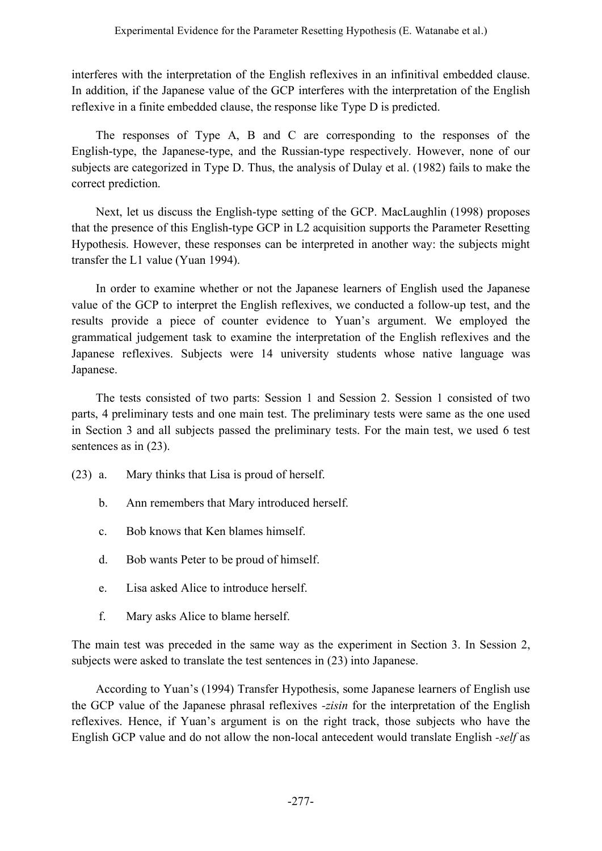interferes with the interpretation of the English reflexives in an infinitival embedded clause. In addition, if the Japanese value of the GCP interferes with the interpretation of the English reflexive in a finite embedded clause, the response like Type D is predicted.

The responses of Type A, B and C are corresponding to the responses of the English-type, the Japanese-type, and the Russian-type respectively. However, none of our subjects are categorized in Type D. Thus, the analysis of Dulay et al. (1982) fails to make the correct prediction.

Next, let us discuss the English-type setting of the GCP. MacLaughlin (1998) proposes that the presence of this English-type GCP in L2 acquisition supports the Parameter Resetting Hypothesis. However, these responses can be interpreted in another way: the subjects might transfer the L1 value (Yuan 1994).

In order to examine whether or not the Japanese learners of English used the Japanese value of the GCP to interpret the English reflexives, we conducted a follow-up test, and the results provide a piece of counter evidence to Yuan's argument. We employed the grammatical judgement task to examine the interpretation of the English reflexives and the Japanese reflexives. Subjects were 14 university students whose native language was Japanese.

The tests consisted of two parts: Session 1 and Session 2. Session 1 consisted of two parts, 4 preliminary tests and one main test. The preliminary tests were same as the one used in Section 3 and all subjects passed the preliminary tests. For the main test, we used 6 test sentences as in  $(23)$ .

- (23) a. Mary thinks that Lisa is proud of herself.
	- b. Ann remembers that Mary introduced herself.
	- c. Bob knows that Ken blames himself.
	- d. Bob wants Peter to be proud of himself.
	- e. Lisa asked Alice to introduce herself.
	- f. Mary asks Alice to blame herself.

The main test was preceded in the same way as the experiment in Section 3. In Session 2, subjects were asked to translate the test sentences in (23) into Japanese.

According to Yuan's (1994) Transfer Hypothesis, some Japanese learners of English use the GCP value of the Japanese phrasal reflexives *-zisin* for the interpretation of the English reflexives. Hence, if Yuan's argument is on the right track, those subjects who have the English GCP value and do not allow the non-local antecedent would translate English *-self* as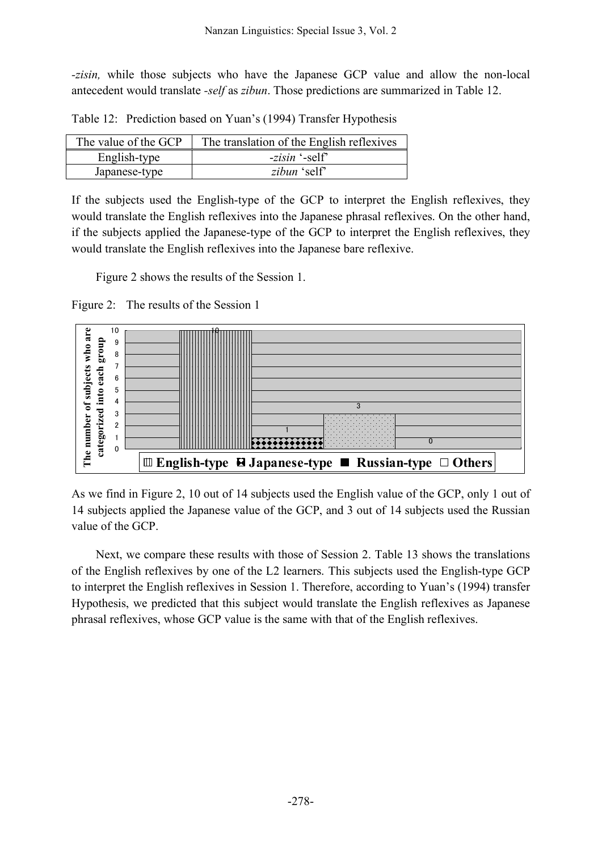*-zisin,* while those subjects who have the Japanese GCP value and allow the non-local antecedent would translate *-self* as *zibun*. Those predictions are summarized in Table 12.

Table 12: Prediction based on Yuan's (1994) Transfer Hypothesis

| The value of the GCP | The translation of the English reflexives |  |
|----------------------|-------------------------------------------|--|
| English-type         | -zisin '-self'                            |  |
| Japanese-type        | zibun 'self'                              |  |

If the subjects used the English-type of the GCP to interpret the English reflexives, they would translate the English reflexives into the Japanese phrasal reflexives. On the other hand, if the subjects applied the Japanese-type of the GCP to interpret the English reflexives, they would translate the English reflexives into the Japanese bare reflexive.

Figure 2 shows the results of the Session 1.





As we find in Figure 2, 10 out of 14 subjects used the English value of the GCP, only 1 out of 14 subjects applied the Japanese value of the GCP, and 3 out of 14 subjects used the Russian value of the GCP.

Next, we compare these results with those of Session 2. Table 13 shows the translations of the English reflexives by one of the L2 learners. This subjects used the English-type GCP to interpret the English reflexives in Session 1. Therefore, according to Yuan's (1994) transfer Hypothesis, we predicted that this subject would translate the English reflexives as Japanese phrasal reflexives, whose GCP value is the same with that of the English reflexives.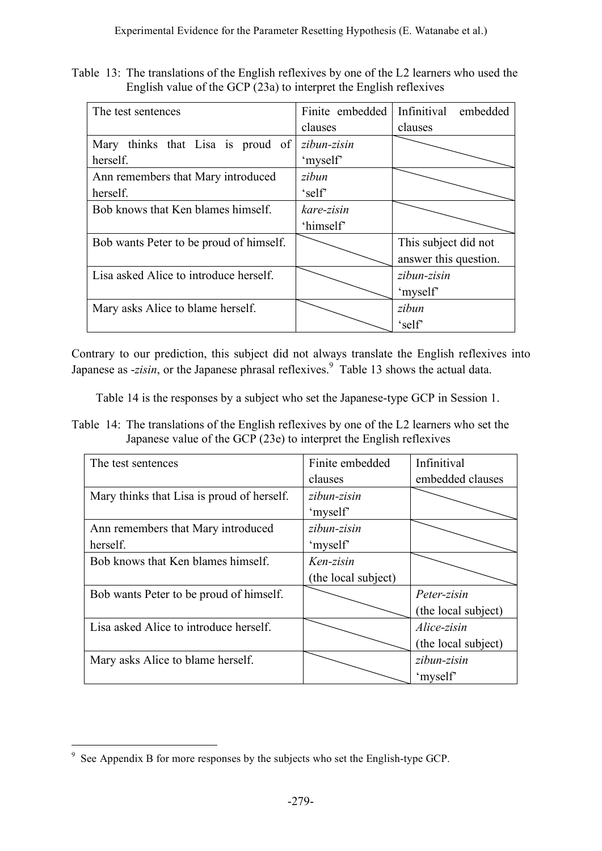Table 13: The translations of the English reflexives by one of the L2 learners who used the English value of the GCP (23a) to interpret the English reflexives

| The test sentences                      | Finite embedded | Infinitival<br>embedded |
|-----------------------------------------|-----------------|-------------------------|
|                                         | clauses         | clauses                 |
| Mary thinks that Lisa is proud of       | zibun-zisin     |                         |
| herself.                                | 'myself'        |                         |
| Ann remembers that Mary introduced      | zibun           |                         |
| herself.                                | 'self           |                         |
| Bob knows that Ken blames himself.      | kare-zisin      |                         |
|                                         | 'himself'       |                         |
| Bob wants Peter to be proud of himself. |                 | This subject did not    |
|                                         |                 | answer this question.   |
| Lisa asked Alice to introduce herself.  |                 | zibun-zisin             |
|                                         |                 | 'myself'                |
| Mary asks Alice to blame herself.       |                 | zibun                   |
|                                         |                 | 'self'                  |

Contrary to our prediction, this subject did not always translate the English reflexives into Japanese as -*zisin*, or the Japanese phrasal reflexives. <sup>9</sup> Table 13 shows the actual data.

Table 14 is the responses by a subject who set the Japanese-type GCP in Session 1.

Table 14: The translations of the English reflexives by one of the L2 learners who set the Japanese value of the GCP (23e) to interpret the English reflexives

| The test sentences                         | Finite embedded     | Infinitival         |
|--------------------------------------------|---------------------|---------------------|
|                                            | clauses             | embedded clauses    |
| Mary thinks that Lisa is proud of herself. | zibun-zisin         |                     |
|                                            | 'myself'            |                     |
| Ann remembers that Mary introduced         | zibun-zisin         |                     |
| herself.                                   | 'myself'            |                     |
| Bob knows that Ken blames himself.         | Ken-zisin           |                     |
|                                            | (the local subject) |                     |
| Bob wants Peter to be proud of himself.    |                     | Peter-zisin         |
|                                            |                     | (the local subject) |
| Lisa asked Alice to introduce herself.     |                     | Alice-zisin         |
|                                            |                     | (the local subject) |
| Mary asks Alice to blame herself.          |                     | zibun-zisin         |
|                                            |                     | 'myself'            |

 <sup>9</sup> See Appendix <sup>B</sup> for more responses by the subjects who set the English-type GCP.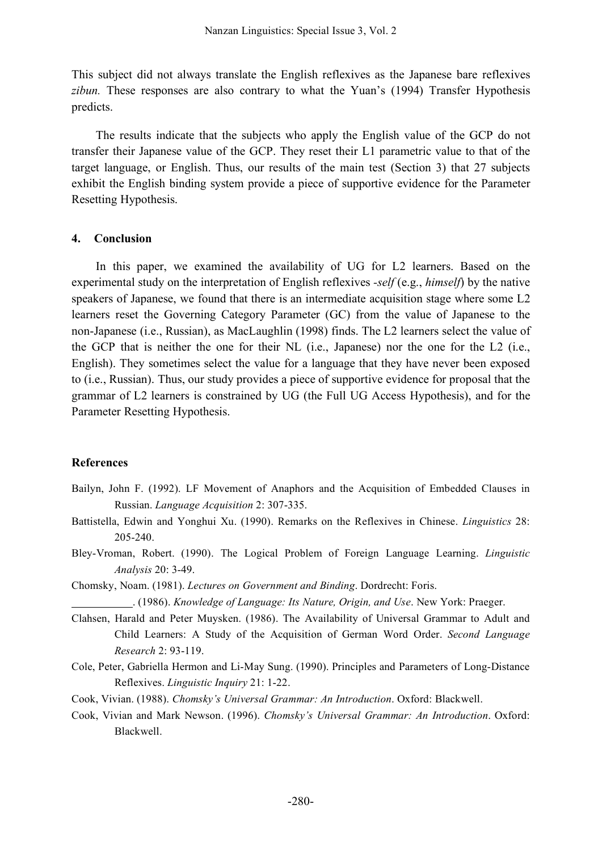This subject did not always translate the English reflexives as the Japanese bare reflexives *zibun.* These responses are also contrary to what the Yuan's (1994) Transfer Hypothesis predicts.

The results indicate that the subjects who apply the English value of the GCP do not transfer their Japanese value of the GCP. They reset their L1 parametric value to that of the target language, or English. Thus, our results of the main test (Section 3) that 27 subjects exhibit the English binding system provide a piece of supportive evidence for the Parameter Resetting Hypothesis.

#### **4. Conclusion**

In this paper, we examined the availability of UG for L2 learners. Based on the experimental study on the interpretation of English reflexives *-self* (e.g., *himself*) by the native speakers of Japanese, we found that there is an intermediate acquisition stage where some L2 learners reset the Governing Category Parameter (GC) from the value of Japanese to the non-Japanese (i.e., Russian), as MacLaughlin (1998) finds. The L2 learners select the value of the GCP that is neither the one for their NL (i.e., Japanese) nor the one for the L2 (i.e., English). They sometimes select the value for a language that they have never been exposed to (i.e., Russian). Thus, our study provides a piece of supportive evidence for proposal that the grammar of L2 learners is constrained by UG (the Full UG Access Hypothesis), and for the Parameter Resetting Hypothesis.

#### **References**

- Bailyn, John F. (1992). LF Movement of Anaphors and the Acquisition of Embedded Clauses in Russian. *Language Acquisition* 2: 307-335.
- Battistella, Edwin and Yonghui Xu. (1990). Remarks on the Reflexives in Chinese. *Linguistics* 28: 205-240.
- Bley-Vroman, Robert. (1990). The Logical Problem of Foreign Language Learning. *Linguistic Analysis* 20: 3-49.
- Chomsky, Noam. (1981). *Lectures on Government and Binding*. Dordrecht: Foris.

. (1986). *Knowledge of Language: Its Nature, Origin, and Use*. New York: Praeger.

- Clahsen, Harald and Peter Muysken. (1986). The Availability of Universal Grammar to Adult and Child Learners: A Study of the Acquisition of German Word Order. *Second Language Research* 2: 93-119.
- Cole, Peter, Gabriella Hermon and Li-May Sung. (1990). Principles and Parameters of Long-Distance Reflexives. *Linguistic Inquiry* 21: 1-22.
- Cook, Vivian. (1988). *Chomsky's Universal Grammar: An Introduction*. Oxford: Blackwell.
- Cook, Vivian and Mark Newson. (1996). *Chomsky's Universal Grammar: An Introduction*. Oxford: Blackwell.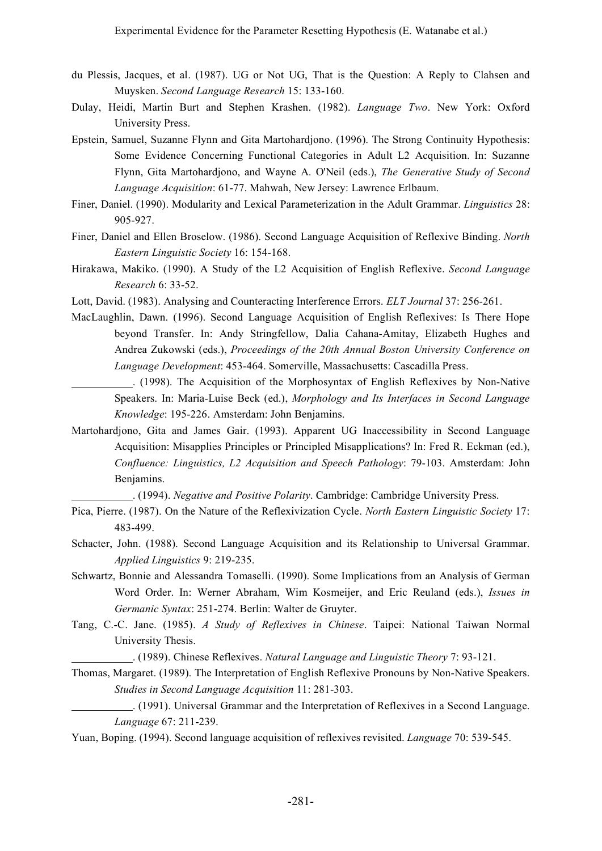- du Plessis, Jacques, et al. (1987). UG or Not UG, That is the Question: A Reply to Clahsen and Muysken. *Second Language Research* 15: 133-160.
- Dulay, Heidi, Martin Burt and Stephen Krashen. (1982). *Language Two*. New York: Oxford University Press.
- Epstein, Samuel, Suzanne Flynn and Gita Martohardjono. (1996). The Strong Continuity Hypothesis: Some Evidence Concerning Functional Categories in Adult L2 Acquisition. In: Suzanne Flynn, Gita Martohardjono, and Wayne A. O'Neil (eds.), *The Generative Study of Second Language Acquisition*: 61-77. Mahwah, New Jersey: Lawrence Erlbaum.
- Finer, Daniel. (1990). Modularity and Lexical Parameterization in the Adult Grammar. *Linguistics* 28: 905-927.
- Finer, Daniel and Ellen Broselow. (1986). Second Language Acquisition of Reflexive Binding. *North Eastern Linguistic Society* 16: 154-168.
- Hirakawa, Makiko. (1990). A Study of the L2 Acquisition of English Reflexive. *Second Language Research* 6: 33-52.
- Lott, David. (1983). Analysing and Counteracting Interference Errors. *ELT Journal* 37: 256-261.
- MacLaughlin, Dawn. (1996). Second Language Acquisition of English Reflexives: Is There Hope beyond Transfer. In: Andy Stringfellow, Dalia Cahana-Amitay, Elizabeth Hughes and Andrea Zukowski (eds.), *Proceedings of the 20th Annual Boston University Conference on Language Development*: 453-464. Somerville, Massachusetts: Cascadilla Press.
	- . (1998). The Acquisition of the Morphosyntax of English Reflexives by Non-Native Speakers. In: Maria-Luise Beck (ed.), *Morphology and Its Interfaces in Second Language Knowledge*: 195-226. Amsterdam: John Benjamins.
- Martohardjono, Gita and James Gair. (1993). Apparent UG Inaccessibility in Second Language Acquisition: Misapplies Principles or Principled Misapplications? In: Fred R. Eckman (ed.), *Confluence: Linguistics, L2 Acquisition and Speech Pathology*: 79-103. Amsterdam: John Benjamins.

. (1994). *Negative and Positive Polarity*. Cambridge: Cambridge University Press.

- Pica, Pierre. (1987). On the Nature of the Reflexivization Cycle. *North Eastern Linguistic Society* 17: 483-499.
- Schacter, John. (1988). Second Language Acquisition and its Relationship to Universal Grammar. *Applied Linguistics* 9: 219-235.
- Schwartz, Bonnie and Alessandra Tomaselli. (1990). Some Implications from an Analysis of German Word Order. In: Werner Abraham, Wim Kosmeijer, and Eric Reuland (eds.), *Issues in Germanic Syntax*: 251-274. Berlin: Walter de Gruyter.
- Tang, C.-C. Jane. (1985). *A Study of Reflexives in Chinese*. Taipei: National Taiwan Normal University Thesis.

. (1989). Chinese Reflexives. *Natural Language and Linguistic Theory* 7: 93-121.

Thomas, Margaret. (1989). The Interpretation of English Reflexive Pronouns by Non-Native Speakers. *Studies in Second Language Acquisition* 11: 281-303.

Yuan, Boping. (1994). Second language acquisition of reflexives revisited. *Language* 70: 539-545.

<sup>.</sup> (1991). Universal Grammar and the Interpretation of Reflexives in a Second Language. *Language* 67: 211-239.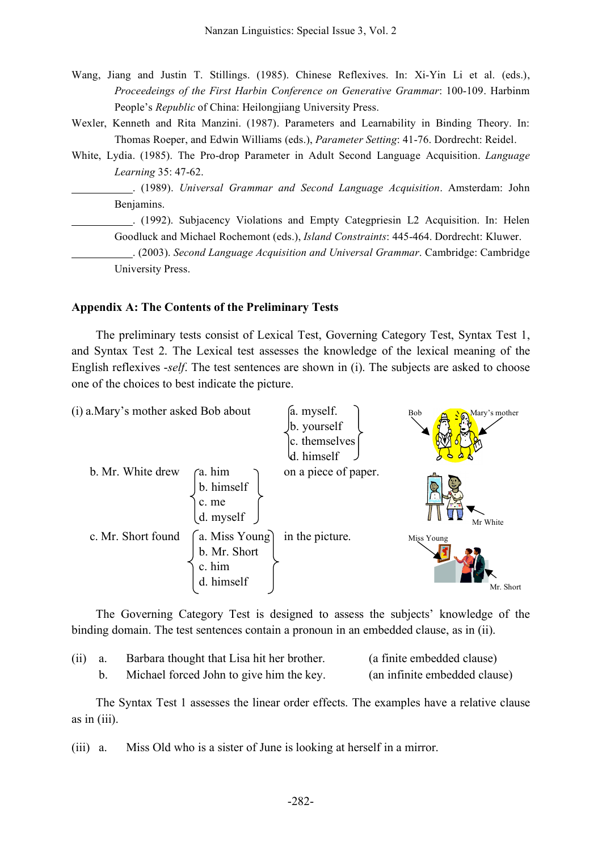- Wang, Jiang and Justin T. Stillings. (1985). Chinese Reflexives. In: Xi-Yin Li et al. (eds.), *Proceedeings of the First Harbin Conference on Generative Grammar*: 100-109. Harbinm People's *Republic* of China: Heilongjiang University Press.
- Wexler, Kenneth and Rita Manzini. (1987). Parameters and Learnability in Binding Theory. In: Thomas Roeper, and Edwin Williams (eds.), *Parameter Setting*: 41-76. Dordrecht: Reidel.
- White, Lydia. (1985). The Pro-drop Parameter in Adult Second Language Acquisition. *Language Learning* 35: 47-62.

. (1989). *Universal Grammar and Second Language Acquisition*. Amsterdam: John Benjamins.

. (1992). Subjacency Violations and Empty Categpriesin L2 Acquisition. In: Helen Goodluck and Michael Rochemont (eds.), *Island Constraints*: 445-464. Dordrecht: Kluwer.

. (2003). *Second Language Acquisition and Universal Grammar*. Cambridge: Cambridge University Press.

#### **Appendix A: The Contents of the Preliminary Tests**

The preliminary tests consist of Lexical Test, Governing Category Test, Syntax Test 1, and Syntax Test 2. The Lexical test assesses the knowledge of the lexical meaning of the English reflexives -*self*. The test sentences are shown in (i). The subjects are asked to choose one of the choices to best indicate the picture.



The Governing Category Test is designed to assess the subjects' knowledge of the binding domain. The test sentences contain a pronoun in an embedded clause, as in (ii).

| $(ii)$ a. | Barbara thought that Lisa hit her brother. | (a finite embedded clause)    |
|-----------|--------------------------------------------|-------------------------------|
|           | Michael forced John to give him the key.   | (an infinite embedded clause) |

The Syntax Test 1 assesses the linear order effects. The examples have a relative clause as in (iii).

(iii) a. Miss Old who is a sister of June is looking at herself in a mirror.